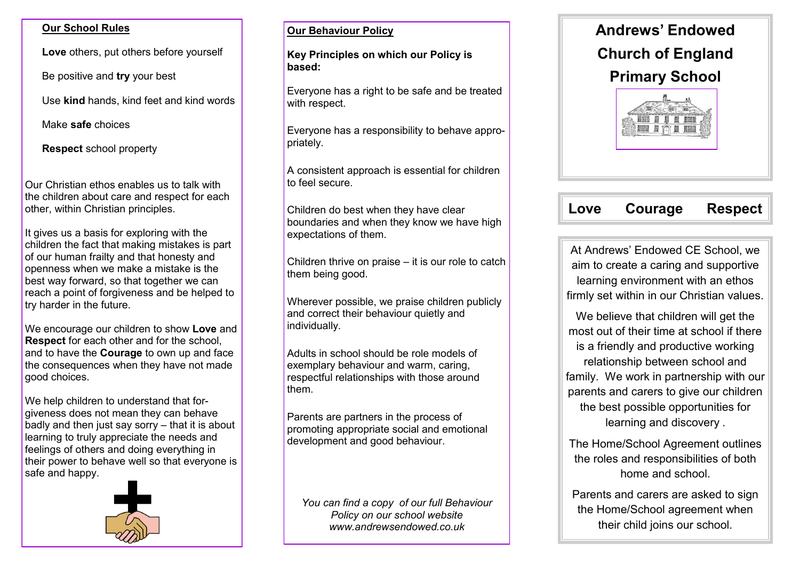#### **Our School Rules**

**Love** others, put others before yourself

Be positive and **try** your best

Use **kind** hands, kind feet and kind words

Make **safe** choices

**Respect** school property

Our Christian ethos enables us to talk with the children about care and respect for each other, within Christian principles.

It gives us a basis for exploring with the children the fact that making mistakes is part of our human frailty and that honesty and openness when we make a mistake is the best way forward, so that together we can reach a point of forgiveness and be helped to try harder in the future.

We encourage our children to show **Love** and **Respect** for each other and for the school, and to have the **Courage** to own up and face the consequences when they have not made good choices.

We help children to understand that forgiveness does not mean they can behave badly and then just say sorry – that it is about learning to truly appreciate the needs and feelings of others and doing everything in their power to behave well so that everyone is safe and happy.



#### **Our Behaviour Policy**

**Key Principles on which our Policy is based:** 

Everyone has a right to be safe and be treated with respect.

Everyone has a responsibility to behave appropriately.

A consistent approach is essential for children to feel secure.

Children do best when they have clear boundaries and when they know we have high expectations of them.

Children thrive on praise – it is our role to catch them being good.

Wherever possible, we praise children publicly and correct their behaviour quietly and individually.

Adults in school should be role models of exemplary behaviour and warm, caring, respectful relationships with those around them.

Parents are partners in the process of promoting appropriate social and emotional development and good behaviour.

*You can find a copy of our full Behaviour Policy on our school website www.andrewsendowed.co.uk*



# **Love Courage Respect**

At Andrews' Endowed CE School, we aim to create a caring and supportive learning environment with an ethos firmly set within in our Christian values.

We believe that children will get the most out of their time at school if there is a friendly and productive working relationship between school and family. We work in partnership with our parents and carers to give our children the best possible opportunities for learning and discovery .

The Home/School Agreement outlines the roles and responsibilities of both home and school.

Parents and carers are asked to sign the Home/School agreement when their child joins our school.